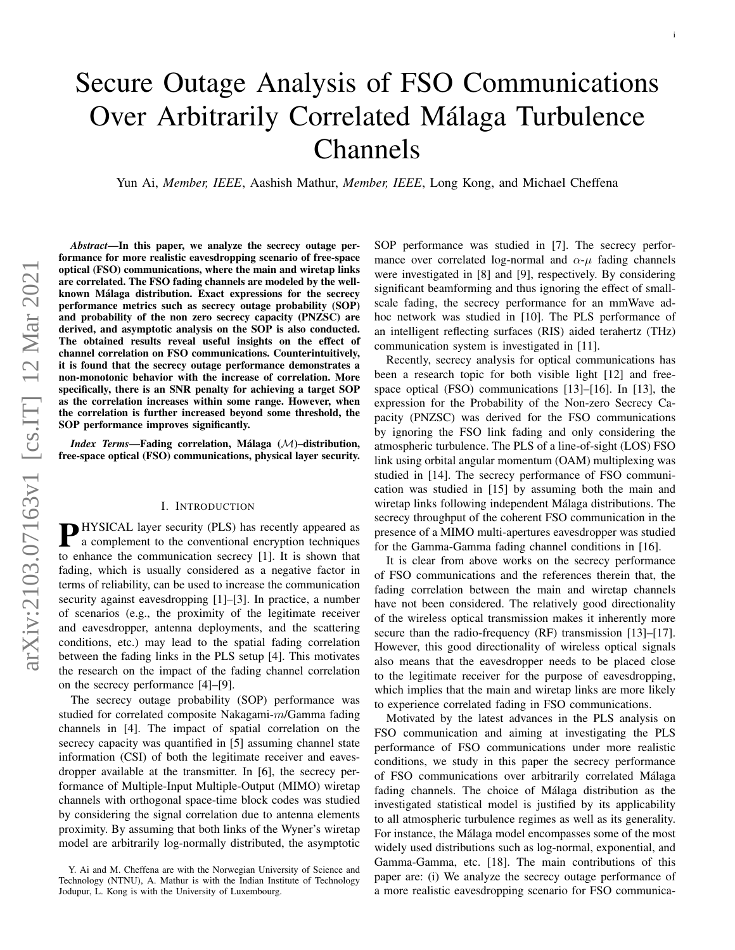# Secure Outage Analysis of FSO Communications Over Arbitrarily Correlated Málaga Turbulence Channels

Yun Ai, *Member, IEEE*, Aashish Mathur, *Member, IEEE*, Long Kong, and Michael Cheffena

*Abstract*—In this paper, we analyze the secrecy outage performance for more realistic eavesdropping scenario of free-space optical (FSO) communications, where the main and wiretap links are correlated. The FSO fading channels are modeled by the wellknown Málaga distribution. Exact expressions for the secrecy performance metrics such as secrecy outage probability (SOP) and probability of the non zero secrecy capacity (PNZSC) are derived, and asymptotic analysis on the SOP is also conducted. The obtained results reveal useful insights on the effect of channel correlation on FSO communications. Counterintuitively, it is found that the secrecy outage performance demonstrates a non-monotonic behavior with the increase of correlation. More specifically, there is an SNR penalty for achieving a target SOP as the correlation increases within some range. However, when the correlation is further increased beyond some threshold, the SOP performance improves significantly.

*Index Terms*—Fading correlation, Málaga (M)–distribution, free-space optical (FSO) communications, physical layer security.

# I. INTRODUCTION

**P**HYSICAL layer security (PLS) has recently appeared as<br>a complement to the conventional encryption techniques a complement to the conventional encryption techniques to enhance the communication secrecy [1]. It is shown that fading, which is usually considered as a negative factor in terms of reliability, can be used to increase the communication security against eavesdropping [1]–[3]. In practice, a number of scenarios (e.g., the proximity of the legitimate receiver and eavesdropper, antenna deployments, and the scattering conditions, etc.) may lead to the spatial fading correlation between the fading links in the PLS setup [4]. This motivates the research on the impact of the fading channel correlation on the secrecy performance [4]–[9].

The secrecy outage probability (SOP) performance was studied for correlated composite Nakagami-m/Gamma fading channels in [4]. The impact of spatial correlation on the secrecy capacity was quantified in [5] assuming channel state information (CSI) of both the legitimate receiver and eavesdropper available at the transmitter. In [6], the secrecy performance of Multiple-Input Multiple-Output (MIMO) wiretap channels with orthogonal space-time block codes was studied by considering the signal correlation due to antenna elements proximity. By assuming that both links of the Wyner's wiretap model are arbitrarily log-normally distributed, the asymptotic SOP performance was studied in [7]. The secrecy performance over correlated log-normal and  $\alpha-\mu$  fading channels were investigated in [8] and [9], respectively. By considering significant beamforming and thus ignoring the effect of smallscale fading, the secrecy performance for an mmWave adhoc network was studied in [10]. The PLS performance of an intelligent reflecting surfaces (RIS) aided terahertz (THz) communication system is investigated in [11].

i

Recently, secrecy analysis for optical communications has been a research topic for both visible light [12] and freespace optical (FSO) communications [13]–[16]. In [13], the expression for the Probability of the Non-zero Secrecy Capacity (PNZSC) was derived for the FSO communications by ignoring the FSO link fading and only considering the atmospheric turbulence. The PLS of a line-of-sight (LOS) FSO link using orbital angular momentum (OAM) multiplexing was studied in [14]. The secrecy performance of FSO communication was studied in [15] by assuming both the main and wiretap links following independent Málaga distributions. The secrecy throughput of the coherent FSO communication in the presence of a MIMO multi-apertures eavesdropper was studied for the Gamma-Gamma fading channel conditions in [16].

It is clear from above works on the secrecy performance of FSO communications and the references therein that, the fading correlation between the main and wiretap channels have not been considered. The relatively good directionality of the wireless optical transmission makes it inherently more secure than the radio-frequency (RF) transmission [13]–[17]. However, this good directionality of wireless optical signals also means that the eavesdropper needs to be placed close to the legitimate receiver for the purpose of eavesdropping, which implies that the main and wiretap links are more likely to experience correlated fading in FSO communications.

Motivated by the latest advances in the PLS analysis on FSO communication and aiming at investigating the PLS performance of FSO communications under more realistic conditions, we study in this paper the secrecy performance of FSO communications over arbitrarily correlated Málaga fading channels. The choice of Málaga distribution as the investigated statistical model is justified by its applicability to all atmospheric turbulence regimes as well as its generality. For instance, the Málaga model encompasses some of the most widely used distributions such as log-normal, exponential, and Gamma-Gamma, etc. [18]. The main contributions of this paper are: (i) We analyze the secrecy outage performance of a more realistic eavesdropping scenario for FSO communica-

Y. Ai and M. Cheffena are with the Norwegian University of Science and Technology (NTNU), A. Mathur is with the Indian Institute of Technology Jodupur, L. Kong is with the University of Luxembourg.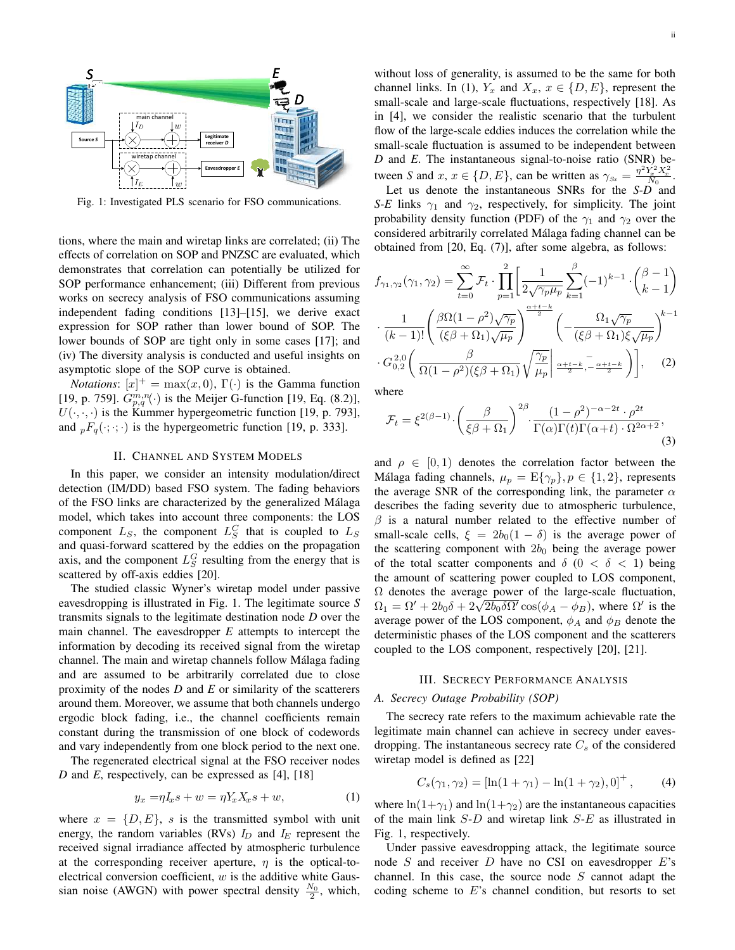

Fig. 1: Investigated PLS scenario for FSO communications.

tions, where the main and wiretap links are correlated; (ii) The effects of correlation on SOP and PNZSC are evaluated, which demonstrates that correlation can potentially be utilized for SOP performance enhancement; (iii) Different from previous works on secrecy analysis of FSO communications assuming independent fading conditions [13]–[15], we derive exact expression for SOP rather than lower bound of SOP. The lower bounds of SOP are tight only in some cases [17]; and (iv) The diversity analysis is conducted and useful insights on asymptotic slope of the SOP curve is obtained.

*Notations*:  $[x]^+$  = max $(x, 0)$ ,  $\Gamma(\cdot)$  is the Gamma function [19, p. 759].  $G_{p,q}^{m,n}(\cdot)$  is the Meijer G-function [19, Eq. (8.2)],  $U(\cdot, \cdot, \cdot)$  is the Kummer hypergeometric function [19, p. 793], and  $_pF_q(\cdot; \cdot; \cdot)$  is the hypergeometric function [19, p. 333].

# II. CHANNEL AND SYSTEM MODELS

In this paper, we consider an intensity modulation/direct detection (IM/DD) based FSO system. The fading behaviors of the FSO links are characterized by the generalized Málaga model, which takes into account three components: the LOS component  $L_S$ , the component  $L_S^C$  that is coupled to  $L_S$ and quasi-forward scattered by the eddies on the propagation axis, and the component  $L_S^G$  resulting from the energy that is scattered by off-axis eddies [20].

The studied classic Wyner's wiretap model under passive eavesdropping is illustrated in Fig. 1. The legitimate source *S* transmits signals to the legitimate destination node *D* over the main channel. The eavesdropper *E* attempts to intercept the information by decoding its received signal from the wiretap channel. The main and wiretap channels follow Málaga fading and are assumed to be arbitrarily correlated due to close proximity of the nodes *D* and *E* or similarity of the scatterers around them. Moreover, we assume that both channels undergo ergodic block fading, i.e., the channel coefficients remain constant during the transmission of one block of codewords and vary independently from one block period to the next one.

The regenerated electrical signal at the FSO receiver nodes *D* and *E*, respectively, can be expressed as [4], [18]

$$
y_x = \eta I_x s + w = \eta Y_x X_x s + w,\tag{1}
$$

where  $x = \{D, E\}$ , s is the transmitted symbol with unit energy, the random variables (RVs)  $I_D$  and  $I_E$  represent the received signal irradiance affected by atmospheric turbulence at the corresponding receiver aperture,  $\eta$  is the optical-toelectrical conversion coefficient,  $w$  is the additive white Gaussian noise (AWGN) with power spectral density  $\frac{N_0}{2}$ , which,

without loss of generality, is assumed to be the same for both channel links. In (1),  $Y_x$  and  $X_x$ ,  $x \in \{D, E\}$ , represent the small-scale and large-scale fluctuations, respectively [18]. As in [4], we consider the realistic scenario that the turbulent flow of the large-scale eddies induces the correlation while the small-scale fluctuation is assumed to be independent between *D* and *E*. The instantaneous signal-to-noise ratio (SNR) between *S* and  $x, x \in \{D, E\}$ , can be written as  $\gamma_{S_x} = \frac{\eta^2 Y_x^2 X_x^2}{N_0}$ .

Let us denote the instantaneous SNRs for the *S-D* and *S-E* links  $\gamma_1$  and  $\gamma_2$ , respectively, for simplicity. The joint probability density function (PDF) of the  $\gamma_1$  and  $\gamma_2$  over the considered arbitrarily correlated Málaga fading channel can be obtained from [20, Eq. (7)], after some algebra, as follows:

$$
f_{\gamma_1,\gamma_2}(\gamma_1,\gamma_2) = \sum_{t=0}^{\infty} \mathcal{F}_t \cdot \prod_{p=1}^2 \left[ \frac{1}{2\sqrt{\gamma_p \mu_p}} \sum_{k=1}^{\beta} (-1)^{k-1} \cdot \binom{\beta-1}{k-1} \right]
$$

$$
\cdot \frac{1}{(k-1)!} \left( \frac{\beta \Omega (1-\rho^2) \sqrt{\gamma_p}}{(\xi \beta + \Omega_1) \sqrt{\mu_p}} \right)^{\frac{\alpha+t-k}{2}} \left( -\frac{\Omega_1 \sqrt{\gamma_p}}{(\xi \beta + \Omega_1) \xi \sqrt{\mu_p}} \right)^{k-1}
$$

$$
\cdot G_{0,2}^{2,0} \left( \frac{\beta}{\Omega (1-\rho^2)(\xi \beta + \Omega_1)} \sqrt{\frac{\gamma_p}{\mu_p}} \middle| \frac{\alpha+t-k}{2}, \frac{\alpha+t-k}{2} \right) \right], \quad (2)
$$

where

$$
\mathcal{F}_t = \xi^{2(\beta - 1)} \cdot \left(\frac{\beta}{\xi \beta + \Omega_1}\right)^{2\beta} \cdot \frac{(1 - \rho^2)^{-\alpha - 2t} \cdot \rho^{2t}}{\Gamma(\alpha)\Gamma(t)\Gamma(\alpha + t) \cdot \Omega^{2\alpha + 2}},\tag{3}
$$

and  $\rho \in [0, 1)$  denotes the correlation factor between the Málaga fading channels,  $\mu_p = \mathbb{E}\{\gamma_p\}, p \in \{1, 2\}$ , represents the average SNR of the corresponding link, the parameter  $\alpha$ describes the fading severity due to atmospheric turbulence,  $\beta$  is a natural number related to the effective number of small-scale cells,  $\xi = 2b_0(1 - \delta)$  is the average power of the scattering component with  $2b_0$  being the average power of the total scatter components and  $\delta$  (0 <  $\delta$  < 1) being the amount of scattering power coupled to LOS component,  $\Omega$  denotes the average power of the large-scale fluctuation,  $\Omega_1 = \Omega' + 2b_0\delta + 2\sqrt{2b_0\delta\Omega'}\cos(\phi_A - \phi_B)$ , where  $\Omega'$  is the average power of the LOS component,  $\phi_A$  and  $\phi_B$  denote the deterministic phases of the LOS component and the scatterers coupled to the LOS component, respectively [20], [21].

# III. SECRECY PERFORMANCE ANALYSIS

# *A. Secrecy Outage Probability (SOP)*

The secrecy rate refers to the maximum achievable rate the legitimate main channel can achieve in secrecy under eavesdropping. The instantaneous secrecy rate  $C_s$  of the considered wiretap model is defined as [22]

$$
C_s(\gamma_1, \gamma_2) = \left[ \ln(1 + \gamma_1) - \ln(1 + \gamma_2), 0 \right]^+, \tag{4}
$$

where  $\ln(1+\gamma_1)$  and  $\ln(1+\gamma_2)$  are the instantaneous capacities of the main link  $S-D$  and wiretap link  $S-E$  as illustrated in Fig. 1, respectively.

Under passive eavesdropping attack, the legitimate source node  $S$  and receiver  $D$  have no CSI on eavesdropper  $E$ 's channel. In this case, the source node  $S$  cannot adapt the coding scheme to  $E$ 's channel condition, but resorts to set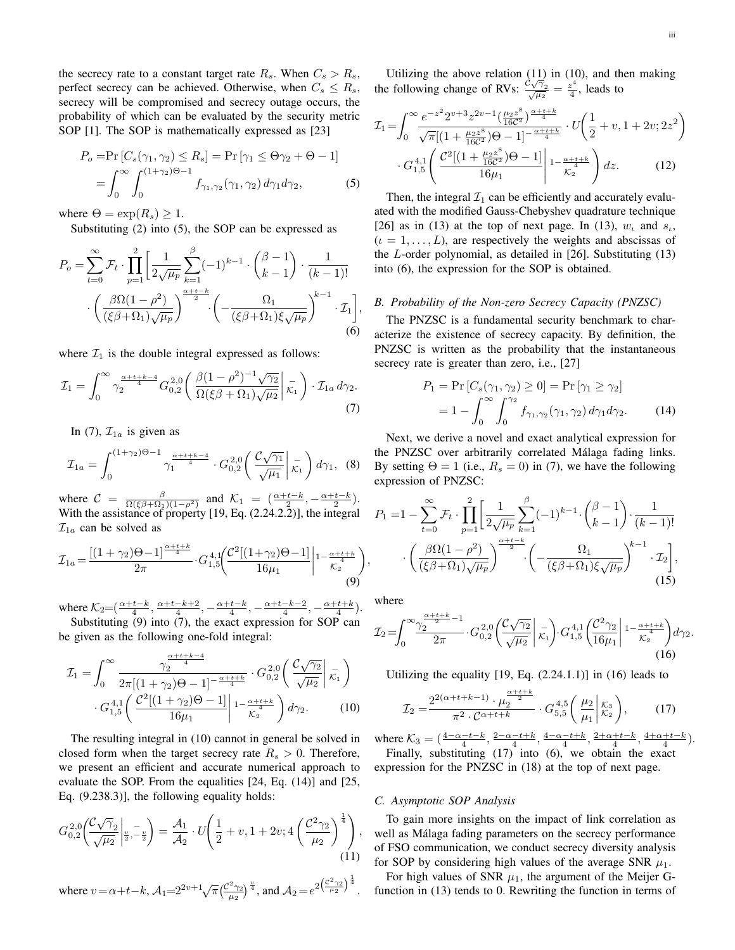the secrecy rate to a constant target rate  $R_s$ . When  $C_s > R_s$ , perfect secrecy can be achieved. Otherwise, when  $C_s \leq R_s$ , secrecy will be compromised and secrecy outage occurs, the probability of which can be evaluated by the security metric SOP [1]. The SOP is mathematically expressed as [23]

$$
P_o = \Pr\left[C_s(\gamma_1, \gamma_2) \le R_s\right] = \Pr\left[\gamma_1 \le \Theta \gamma_2 + \Theta - 1\right]
$$

$$
= \int_0^\infty \int_0^{(1+\gamma_2)\Theta - 1} f_{\gamma_1, \gamma_2}(\gamma_1, \gamma_2) d\gamma_1 d\gamma_2, \tag{5}
$$

where  $\Theta = \exp(R_s) \geq 1$ .

Substituting (2) into (5), the SOP can be expressed as

$$
P_o = \sum_{t=0}^{\infty} \mathcal{F}_t \cdot \prod_{p=1}^2 \left[ \frac{1}{2\sqrt{\mu_p}} \sum_{k=1}^{\beta} (-1)^{k-1} \cdot \binom{\beta-1}{k-1} \cdot \frac{1}{(k-1)!} \right. \\ \left. \cdot \left( \frac{\beta \Omega (1-\rho^2)}{(\xi \beta + \Omega_1)\sqrt{\mu_p}} \right)^{\frac{\alpha+t-k}{2}} \cdot \left( -\frac{\Omega_1}{(\xi \beta + \Omega_1)\xi \sqrt{\mu_p}} \right)^{k-1} \cdot \mathcal{I}_1 \right], \tag{6}
$$

where  $\mathcal{I}_1$  is the double integral expressed as follows:

$$
\mathcal{I}_1 = \int_0^\infty \gamma_2^{\frac{\alpha + t + k - 4}{4}} G_{0,2}^{2,0} \left( \frac{\beta (1 - \rho^2)^{-1} \sqrt{\gamma_2}}{\Omega (\xi \beta + \Omega_1) \sqrt{\mu_2}} \Big| \, \bar{\kappa_1} \right) \cdot \mathcal{I}_{1a} \, d\gamma_2. \tag{7}
$$

In (7),  $\mathcal{I}_{1a}$  is given as

$$
\mathcal{I}_{1a} = \int_0^{(1+\gamma_2)\Theta - 1} \gamma_1^{\frac{\alpha + t + k - 4}{4}} \cdot G_{0,2}^{2,0} \left( \frac{\mathcal{C}\sqrt{\gamma_1}}{\sqrt{\mu_1}} \middle| \vec{k_1} \right) d\gamma_1, \tag{8}
$$

where  $C = \frac{\beta}{\Omega(\xi \beta + \Omega_1)(1-\rho^2)}$  and  $\mathcal{K}_1 = \left(\frac{\alpha + t - k}{2}, -\frac{\alpha + t - k}{2}\right)$ . With the assistance of property [19, Eq. (2.24.2.2)], the integral  $\mathcal{I}_{1a}$  can be solved as

$$
\mathcal{I}_{1a} = \frac{\left[ (1+\gamma_2)\Theta - 1 \right]^{\frac{\alpha + t + k}{4}}}{2\pi} \cdot G_{1,5}^{4,1} \left( \frac{\mathcal{C}^2 \left[ (1+\gamma_2)\Theta - 1 \right]}{16\mu_1} \middle| 1 - \frac{\alpha + t + k}{\mathcal{K}_2^4} \right) \tag{9}
$$

where  $K_2 = \left(\frac{\alpha + t - k}{4}, \frac{\alpha + t - k + 2}{4}, -\frac{\alpha + t - k}{4}, -\frac{\alpha + t - k - 2}{4}, -\frac{\alpha + t + k}{4}\right)$ .

Substituting (9) into (7), the exact expression for SOP can be given as the following one-fold integral:

 $\alpha + 1 + 1 + 4 = 4$ 

$$
\mathcal{I}_1 = \int_0^\infty \frac{\gamma_2^{\frac{\alpha + t + \kappa - 4}{4}}}{2\pi [(1 + \gamma_2)\Theta - 1]^{-\frac{\alpha + t + \kappa}{4}}} \cdot G_{0,2}^{2,0} \left( \frac{\mathcal{C}\sqrt{\gamma_2}}{\sqrt{\mu_2}} \middle| \overline{\kappa_1} \right)
$$

$$
G_{1,5}^{4,1} \left( \frac{\mathcal{C}^2 [(1 + \gamma_2)\Theta - 1]}{16\mu_1} \middle| 1 - \frac{\alpha + t + \kappa}{\kappa_2} \right) d\gamma_2. \tag{10}
$$

The resulting integral in (10) cannot in general be solved in closed form when the target secrecy rate  $R_s > 0$ . Therefore, we present an efficient and accurate numerical approach to evaluate the SOP. From the equalities [24, Eq. (14)] and [25, Eq. (9.238.3)], the following equality holds:

$$
G_{0,2}^{2,0}\left(\frac{\mathcal{C}\sqrt{\gamma}_{2}}{\sqrt{\mu_{2}}} \bigg|_{\frac{v}{2},-\frac{v}{2}}\right) = \frac{\mathcal{A}_{1}}{\mathcal{A}_{2}} \cdot U\left(\frac{1}{2} + v, 1 + 2v; 4\left(\frac{\mathcal{C}^{2}\gamma_{2}}{\mu_{2}}\right)^{\frac{1}{4}}\right),\tag{11}
$$

where  $v = \alpha + t - k$ ,  $\mathcal{A}_1 = 2^{2v+1} \sqrt{\pi} \left( \frac{\mathcal{C}^2 \gamma_2}{\mu_2} \right)^{\frac{v}{4}}$ , and  $\mathcal{A}_2 = e^{2 \left( \frac{\mathcal{C}^2 \gamma_2}{\mu_2} \right)^{\frac{1}{4}}}$ .

Utilizing the above relation (11) in (10), and then making the following change of RVs:  $\frac{\partial \sqrt{\gamma_2}}{\sqrt{\mu_2}} = \frac{z^4}{4}$  $\frac{\varepsilon}{4}$ , leads to

$$
\mathcal{I}_{1} = \int_{0}^{\infty} \frac{e^{-z^{2}} 2^{\nu+3} z^{2\nu-1} \left(\frac{\mu_{2} z^{8}}{16C^{2}}\right)^{\frac{\alpha+t+k}{4}} \cdot U\left(\frac{1}{2} + \nu, 1 + 2\nu; 2z^{2}\right)}{\sqrt{\pi}[(1 + \frac{\mu_{2} z^{8}}{16C^{2}})\Theta - 1]^{-\frac{\alpha+t+k}{4}}} \cdot U\left(\frac{1}{2} + \nu, 1 + 2\nu; 2z^{2}\right)
$$

$$
\cdot G_{1,5}^{4,1} \left(\frac{\mathcal{C}^{2}[(1 + \frac{\mu_{2} z^{8}}{16C^{2}})\Theta - 1]}{16\mu_{1}}\right) \cdot \frac{\alpha+t+k}{\kappa_{2}} d z. \tag{12}
$$

Then, the integral  $\mathcal{I}_1$  can be efficiently and accurately evaluated with the modified Gauss-Chebyshev quadrature technique [26] as in (13) at the top of next page. In (13),  $w_t$  and  $s_t$ ,  $(i = 1, \ldots, L)$ , are respectively the weights and abscissas of the L-order polynomial, as detailed in [26]. Substituting (13) into (6), the expression for the SOP is obtained.

### *B. Probability of the Non-zero Secrecy Capacity (PNZSC)*

The PNZSC is a fundamental security benchmark to characterize the existence of secrecy capacity. By definition, the PNZSC is written as the probability that the instantaneous secrecy rate is greater than zero, i.e., [27]

$$
P_1 = \Pr\left[C_s(\gamma_1, \gamma_2) \ge 0\right] = \Pr\left[\gamma_1 \ge \gamma_2\right]
$$

$$
= 1 - \int_0^\infty \int_0^{\gamma_2} f_{\gamma_1, \gamma_2}(\gamma_1, \gamma_2) d\gamma_1 d\gamma_2.
$$
 (14)

Next, we derive a novel and exact analytical expression for the PNZSC over arbitrarily correlated Málaga fading links. By setting  $\Theta = 1$  (i.e.,  $R_s = 0$ ) in (7), we have the following expression of PNZSC:

$$
P_1 = 1 - \sum_{t=0}^{\infty} \mathcal{F}_t \cdot \prod_{p=1}^{2} \left[ \frac{1}{2\sqrt{\mu_p}} \sum_{k=1}^{\beta} (-1)^{k-1} \cdot \binom{\beta-1}{k-1} \cdot \frac{1}{(k-1)!} \cdot \left( \frac{\beta \Omega (1-\rho^2)}{(\xi \beta + \Omega_1) \sqrt{\mu_p}} \right)^{\alpha + t - k} \cdot \left( - \frac{\Omega_1}{(\xi \beta + \Omega_1) \xi \sqrt{\mu_p}} \right)^{k-1} \cdot \mathcal{I}_2 \right],
$$
\n(15)

where

,

$$
\mathcal{I}_2 = \int_0^\infty \frac{\gamma_2^{\frac{\alpha+t+k}{2}-1}}{2\pi} \cdot G_{0,2}^{2,0} \left(\frac{\mathcal{C}\sqrt{\gamma_2}}{\sqrt{\mu_2}} \middle| \ \overline{\kappa_1} \right) \cdot G_{1,5}^{4,1} \left(\frac{\mathcal{C}^2 \gamma_2}{16\mu_1} \middle| 1 - \frac{\alpha+t+k}{\mathcal{K}_2} \right) d\gamma_2. \tag{16}
$$

Utilizing the equality  $[19, Eq. (2.24.1.1)]$  in  $(16)$  leads to

$$
\mathcal{I}_2 = \frac{2^{2(\alpha+t+k-1)} \cdot \mu_2^{\frac{\alpha+t+k}{2}}}{\pi^2 \cdot C^{\alpha+t+k}} \cdot G_{5,5}^{4,5} \left(\frac{\mu_2}{\mu_1} \middle| \begin{array}{c} \mathcal{K}_3 \\ \mathcal{K}_2 \end{array} \right),\tag{17}
$$

where  $\mathcal{K}_3 = (\frac{4-\alpha-t-k}{4}, \frac{2-\alpha-t+k}{4}, \frac{4-\alpha-t+k}{4}, \frac{2+\alpha+t-k}{4}, \frac{4+\alpha+t-k}{4}).$ Finally, substituting (17) into (6), we obtain the exact

expression for the PNZSC in (18) at the top of next page.

#### *C. Asymptotic SOP Analysis*

To gain more insights on the impact of link correlation as well as Málaga fading parameters on the secrecy performance of FSO communication, we conduct secrecy diversity analysis for SOP by considering high values of the average SNR  $\mu_1$ .

For high values of SNR  $\mu_1$ , the argument of the Meijer Gfunction in (13) tends to 0. Rewriting the function in terms of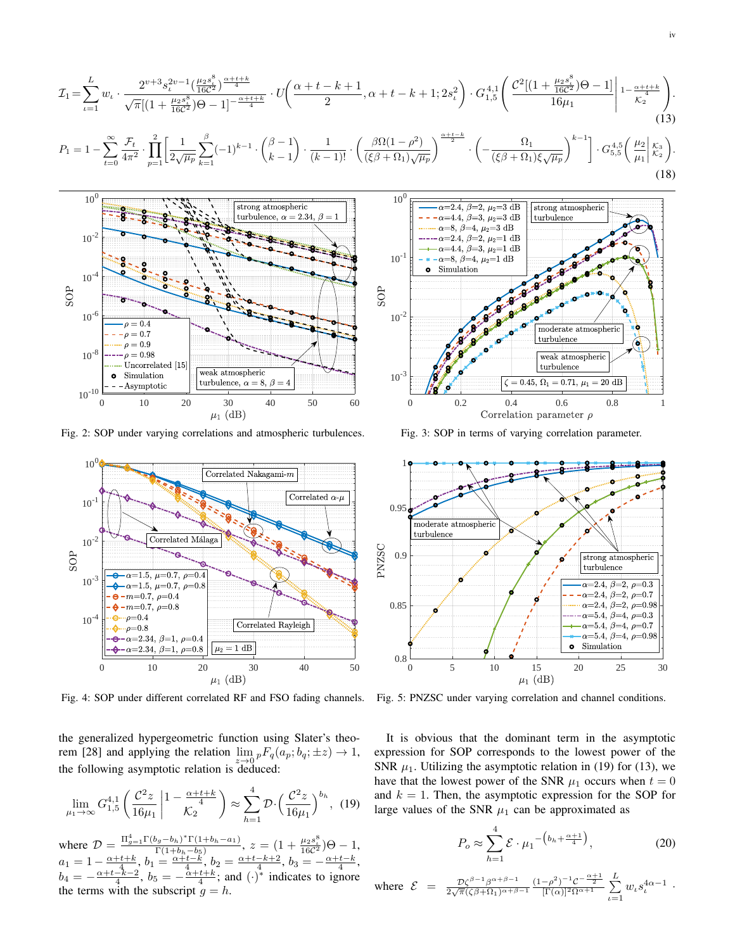$$
\mathcal{I}_{1} = \sum_{\iota=1}^{L} w_{\iota} \cdot \frac{2^{\nu+3} s_{\iota}^{2 \nu - 1} \left(\frac{\mu_{2} s_{\iota}^{8}}{16 \mathcal{C}^{2}}\right)^{\frac{\alpha + \iota + k}{4}}}{\sqrt{\pi} \left[ (1 + \frac{\mu_{2} s_{\iota}^{8}}{16 \mathcal{C}^{2}}) \Theta - 1 \right]^{-\frac{\alpha + \iota + k}{4}}} \cdot U\left( \frac{\alpha + t - k + 1}{2}, \alpha + t - k + 1; 2s_{\iota}^{2} \right) \cdot G_{1,5}^{4,1} \left( \frac{\mathcal{C}^{2} \left[ (1 + \frac{\mu_{2} s_{\iota}^{8}}{16 \mathcal{C}^{2}}) \Theta - 1 \right]}{16 \mu_{1}} \right) \cdot \frac{\alpha + t + k}{\kappa_{2}} \right). \tag{13}
$$
\n
$$
P_{1} = 1 - \sum_{\iota=0}^{\infty} \frac{\mathcal{F}_{t}}{4 \pi^{2}} \cdot \prod_{p=1}^{2} \left[ \frac{1}{2 \sqrt{\mu_{p}}} \sum_{k=1}^{\beta} (-1)^{k-1} \cdot \binom{\beta - 1}{k-1} \cdot \frac{1}{(k-1)!} \cdot \left( \frac{\beta \Omega (1 - \rho^{2})}{(\xi \beta + \Omega_{1}) \sqrt{\mu_{p}}} \right)^{\frac{\alpha + t - k}{2}} \cdot \left( -\frac{\Omega_{1}}{(\xi \beta + \Omega_{1}) \xi \sqrt{\mu_{p}}} \right)^{k-1} \right] \cdot G_{5,5}^{4,5} \left( \frac{\mu_{2}}{\mu_{1}} \Big| \frac{\kappa_{3}}{\kappa_{2}} \right). \tag{18}
$$

 $10^{-1}$ 

 $10<sup>0</sup>$ 



Fig. 2: SOP under varying correlations and atmospheric turbulences.



Fig. 4: SOP under different correlated RF and FSO fading channels.

the generalized hypergeometric function using Slater's theorem [28] and applying the relation  $\lim_{x\to 0} {}_{p}F_{q}(a_{p}; b_{q}; \pm z) \to 1$ , the following asymptotic relation is deduced:

$$
\lim_{\mu_1 \to \infty} G_{1,5}^{4,1} \left( \frac{\mathcal{C}^2 z}{16 \mu_1} \middle| 1 - \frac{\alpha + t + k}{\mathcal{K}_2} \right) \approx \sum_{h=1}^4 \mathcal{D} \cdot \left( \frac{\mathcal{C}^2 z}{16 \mu_1} \right)^{b_h}, (19)
$$

where  $\mathcal{D} = \frac{\Pi_{g=1}^{4} \Gamma(b_g - b_h)^* \Gamma(1 + b_h - a_1)}{\Gamma(1 + b_h - b_5)}$  $\frac{(b_g-b_h)^*\Gamma(1+b_h-a_1)}{\Gamma(1+b_h-b_5)}, z = (1+\frac{\mu_2s_b^8}{16C^2})\Theta - 1,$  $a_1 = 1 - \frac{\alpha + t + k}{4}, b_1 = \frac{\alpha + t - k'}{4}, b_2 = \frac{\alpha + t - k + 2}{4}, b_3 = -\frac{\alpha + t - k}{4},$  $b_4 = -\frac{\alpha + t - \hat{k}-2}{4}$ ,  $b_5 = -\frac{\alpha + t + \hat{k}}{4}$ ; and  $(\cdot)^*$  indicates to ignore the terms with the subscript  $g = h$ .

Simulation ò  $\operatorname{SOP}$  $10^{-2}$ moderate atmospheric turbulence ъ weak atmospheric turbulence  $10^{-3}$  $\zeta = 0.45, \, \Omega_1 = 0.71, \, \mu_1 = 20$  dB 0 0.2 0.4 0.6 0.8 1 Correlation parameter  $\rho$ 

strong atmospheric

turbulence

 $\overline{\alpha=2.4, \beta=2, \mu_2=3 \text{ dB}}$ 

 $\alpha{=}4.4,\,\beta{=}3,\,\mu_2{=}3$  dB

 $\alpha=8, \beta=4, \mu_2=3$  dB  $\alpha=2.4, \beta=2, \mu_2=1$  dB  $\alpha{=}4.4,\,\beta{=}3,\,\mu_2{=}1$ dB  $\alpha=8, \beta=4, \mu_2=1$  dB

Fig. 3: SOP in terms of varying correlation parameter.



Fig. 5: PNZSC under varying correlation and channel conditions.

It is obvious that the dominant term in the asymptotic expression for SOP corresponds to the lowest power of the SNR  $\mu_1$ . Utilizing the asymptotic relation in (19) for (13), we have that the lowest power of the SNR  $\mu_1$  occurs when  $t = 0$ and  $k = 1$ . Then, the asymptotic expression for the SOP for large values of the SNR  $\mu_1$  can be approximated as

$$
P_o \approx \sum_{h=1}^{4} \mathcal{E} \cdot \mu_1 \left( b_h + \frac{\alpha + 1}{4} \right), \tag{20}
$$

where 
$$
\mathcal{E} = \frac{\mathcal{D}\zeta^{\beta-1}\beta^{\alpha+\beta-1}}{2\sqrt{\pi}(\zeta\beta+\Omega_1)^{\alpha+\beta-1}} \frac{(1-\beta^2)^{-1}C^{-\frac{\alpha+1}{2}}}{[\Gamma(\alpha)]^2\Omega^{\alpha+1}} \sum_{\iota=1}^L w_{\iota} s_{\iota}^{4\alpha-1}
$$
.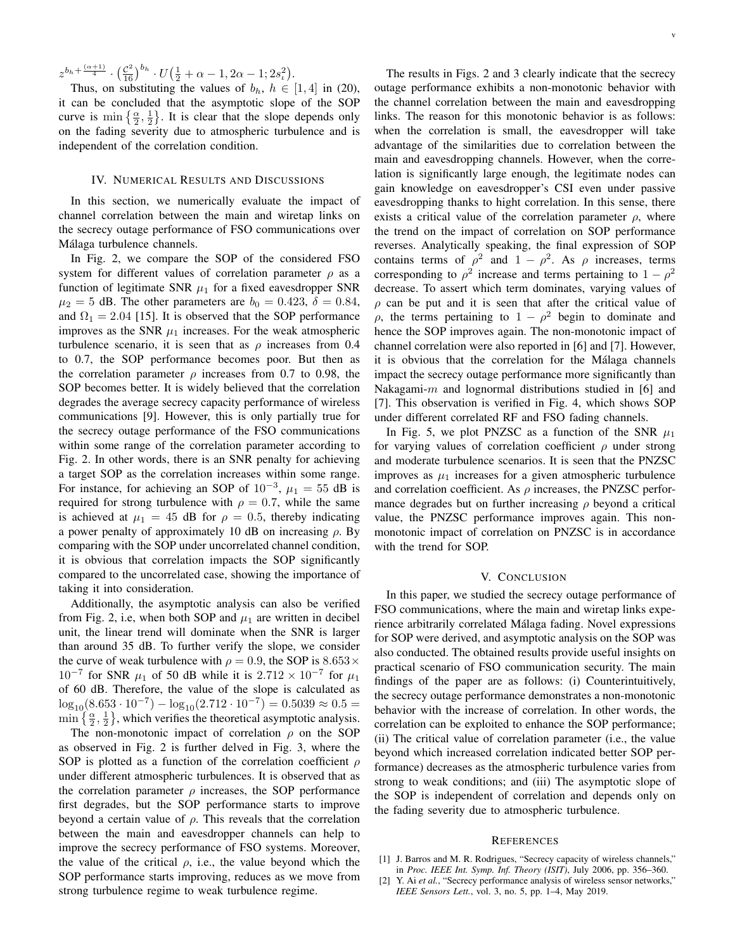$z^{b_h + \frac{(\alpha+1)}{4}} \cdot (\frac{\mathcal{C}^2}{16})^{b_h} \cdot U(\frac{1}{2} + \alpha - 1, 2\alpha - 1; 2s_t^2).$ 

Thus, on substituting the values of  $b_h$ ,  $h \in [1, 4]$  in (20), it can be concluded that the asymptotic slope of the SOP curve is  $\min\{\frac{\alpha}{2},\frac{1}{2}\}\.$  It is clear that the slope depends only on the fading severity due to atmospheric turbulence and is independent of the correlation condition.

# IV. NUMERICAL RESULTS AND DISCUSSIONS

In this section, we numerically evaluate the impact of channel correlation between the main and wiretap links on the secrecy outage performance of FSO communications over Málaga turbulence channels.

In Fig. 2, we compare the SOP of the considered FSO system for different values of correlation parameter  $\rho$  as a function of legitimate SNR  $\mu_1$  for a fixed eavesdropper SNR  $\mu_2 = 5$  dB. The other parameters are  $b_0 = 0.423$ ,  $\delta = 0.84$ , and  $\Omega_1 = 2.04$  [15]. It is observed that the SOP performance improves as the SNR  $\mu_1$  increases. For the weak atmospheric turbulence scenario, it is seen that as  $\rho$  increases from 0.4 to 0.7, the SOP performance becomes poor. But then as the correlation parameter  $\rho$  increases from 0.7 to 0.98, the SOP becomes better. It is widely believed that the correlation degrades the average secrecy capacity performance of wireless communications [9]. However, this is only partially true for the secrecy outage performance of the FSO communications within some range of the correlation parameter according to Fig. 2. In other words, there is an SNR penalty for achieving a target SOP as the correlation increases within some range. For instance, for achieving an SOP of  $10^{-3}$ ,  $\mu_1 = 55$  dB is required for strong turbulence with  $\rho = 0.7$ , while the same is achieved at  $\mu_1 = 45$  dB for  $\rho = 0.5$ , thereby indicating a power penalty of approximately 10 dB on increasing  $\rho$ . By comparing with the SOP under uncorrelated channel condition, it is obvious that correlation impacts the SOP significantly compared to the uncorrelated case, showing the importance of taking it into consideration.

Additionally, the asymptotic analysis can also be verified from Fig. 2, i.e, when both SOP and  $\mu_1$  are written in decibel unit, the linear trend will dominate when the SNR is larger than around 35 dB. To further verify the slope, we consider the curve of weak turbulence with  $\rho = 0.9$ , the SOP is  $8.653 \times$  $10^{-7}$  for SNR  $\mu_1$  of 50 dB while it is 2.712 ×  $10^{-7}$  for  $\mu_1$ of 60 dB. Therefore, the value of the slope is calculated as log<sub>10</sub>(8.653 · 10<sup>-7</sup>) – log<sub>10</sub>(2.712 · 10<sup>-7</sup>) = 0.5039 ≈ 0.5 = min  $\{\frac{\alpha}{2}, \frac{1}{2}\}\$ , which verifies the theoretical asymptotic analysis.

The non-monotonic impact of correlation  $\rho$  on the SOP as observed in Fig. 2 is further delved in Fig. 3, where the SOP is plotted as a function of the correlation coefficient  $\rho$ under different atmospheric turbulences. It is observed that as the correlation parameter  $\rho$  increases, the SOP performance first degrades, but the SOP performance starts to improve beyond a certain value of  $\rho$ . This reveals that the correlation between the main and eavesdropper channels can help to improve the secrecy performance of FSO systems. Moreover, the value of the critical  $\rho$ , i.e., the value beyond which the SOP performance starts improving, reduces as we move from strong turbulence regime to weak turbulence regime.

The results in Figs. 2 and 3 clearly indicate that the secrecy outage performance exhibits a non-monotonic behavior with the channel correlation between the main and eavesdropping links. The reason for this monotonic behavior is as follows: when the correlation is small, the eavesdropper will take advantage of the similarities due to correlation between the main and eavesdropping channels. However, when the correlation is significantly large enough, the legitimate nodes can gain knowledge on eavesdropper's CSI even under passive eavesdropping thanks to hight correlation. In this sense, there exists a critical value of the correlation parameter  $\rho$ , where the trend on the impact of correlation on SOP performance reverses. Analytically speaking, the final expression of SOP contains terms of  $\rho^2$  and  $1 - \rho^2$ . As  $\rho$  increases, terms corresponding to  $\rho^2$  increase and terms pertaining to  $1 - \rho^2$ decrease. To assert which term dominates, varying values of  $\rho$  can be put and it is seen that after the critical value of  $\rho$ , the terms pertaining to  $1 - \rho^2$  begin to dominate and hence the SOP improves again. The non-monotonic impact of channel correlation were also reported in [6] and [7]. However, it is obvious that the correlation for the Málaga channels impact the secrecy outage performance more significantly than Nakagami-m and lognormal distributions studied in  $[6]$  and [7]. This observation is verified in Fig. 4, which shows SOP under different correlated RF and FSO fading channels.

In Fig. 5, we plot PNZSC as a function of the SNR  $\mu_1$ for varying values of correlation coefficient  $\rho$  under strong and moderate turbulence scenarios. It is seen that the PNZSC improves as  $\mu_1$  increases for a given atmospheric turbulence and correlation coefficient. As  $\rho$  increases, the PNZSC performance degrades but on further increasing  $\rho$  beyond a critical value, the PNZSC performance improves again. This nonmonotonic impact of correlation on PNZSC is in accordance with the trend for SOP.

# V. CONCLUSION

In this paper, we studied the secrecy outage performance of FSO communications, where the main and wiretap links experience arbitrarily correlated Málaga fading. Novel expressions for SOP were derived, and asymptotic analysis on the SOP was also conducted. The obtained results provide useful insights on practical scenario of FSO communication security. The main findings of the paper are as follows: (i) Counterintuitively, the secrecy outage performance demonstrates a non-monotonic behavior with the increase of correlation. In other words, the correlation can be exploited to enhance the SOP performance; (ii) The critical value of correlation parameter (i.e., the value beyond which increased correlation indicated better SOP performance) decreases as the atmospheric turbulence varies from strong to weak conditions; and (iii) The asymptotic slope of the SOP is independent of correlation and depends only on the fading severity due to atmospheric turbulence.

#### **REFERENCES**

- [1] J. Barros and M. R. Rodrigues, "Secrecy capacity of wireless channels," in *Proc. IEEE Int. Symp. Inf. Theory (ISIT)*, July 2006, pp. 356–360.
- [2] Y. Ai *et al.*, "Secrecy performance analysis of wireless sensor networks," *IEEE Sensors Lett.*, vol. 3, no. 5, pp. 1–4, May 2019.